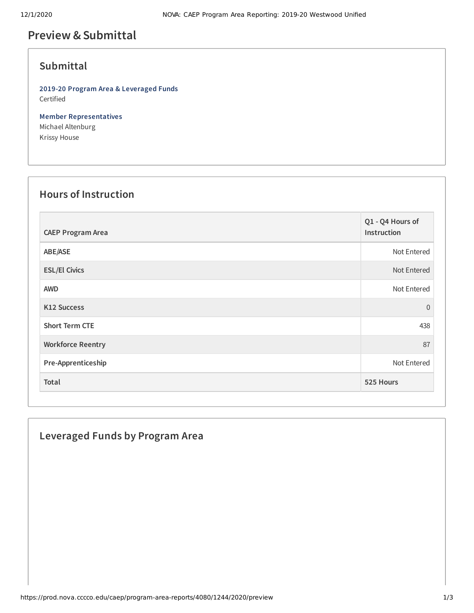## **Preview &Submittal**

## **Submittal**

**2019-20 Program Area & Leveraged Funds** Certified

**Member Representatives** Michael Altenburg Krissy House

### **Hours of Instruction**

| <b>CAEP Program Area</b> | Q1 - Q4 Hours of<br>Instruction |
|--------------------------|---------------------------------|
| ABE/ASE                  | Not Entered                     |
| <b>ESL/El Civics</b>     | Not Entered                     |
| <b>AWD</b>               | Not Entered                     |
| <b>K12 Success</b>       | $\overline{0}$                  |
| <b>Short Term CTE</b>    | 438                             |
| <b>Workforce Reentry</b> | 87                              |
| Pre-Apprenticeship       | Not Entered                     |
| Total                    | 525 Hours                       |

# **Leveraged Funds by Program Area**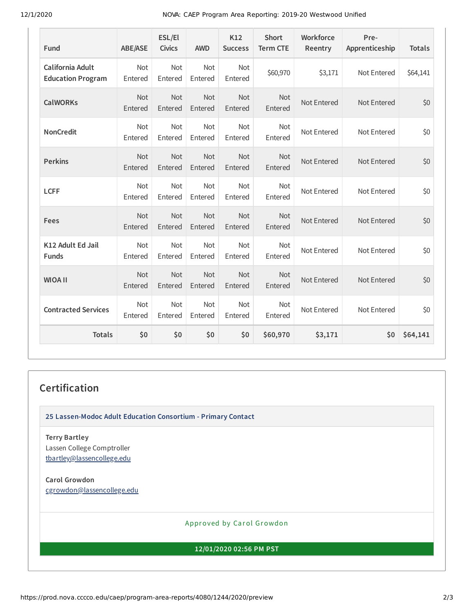12/1/2020 NOVA: CAEP Program Area Reporting: 2019-20 Westwood Unified

| Fund                                         | <b>ABE/ASE</b>        | ESL/El<br><b>Civics</b> | <b>AWD</b>            | K12<br><b>Success</b> | <b>Short</b><br><b>Term CTE</b> | Workforce<br>Reentry | Pre-<br>Apprenticeship | <b>Totals</b> |
|----------------------------------------------|-----------------------|-------------------------|-----------------------|-----------------------|---------------------------------|----------------------|------------------------|---------------|
| California Adult<br><b>Education Program</b> | Not<br>Entered        | Not<br>Entered          | Not<br>Entered        | Not<br>Entered        | \$60,970                        | \$3,171              | Not Entered            | \$64,141      |
| <b>CalWORKs</b>                              | <b>Not</b><br>Entered | <b>Not</b><br>Entered   | <b>Not</b><br>Entered | <b>Not</b><br>Entered | <b>Not</b><br>Entered           | Not Entered          | Not Entered            | \$0           |
| <b>NonCredit</b>                             | <b>Not</b><br>Entered | <b>Not</b><br>Entered   | <b>Not</b><br>Entered | <b>Not</b><br>Entered | <b>Not</b><br>Entered           | Not Entered          | Not Entered            | \$0           |
| <b>Perkins</b>                               | Not<br>Entered        | Not<br>Entered          | Not<br>Entered        | Not<br>Entered        | <b>Not</b><br>Entered           | Not Entered          | Not Entered            | \$0           |
| <b>LCFF</b>                                  | Not<br>Entered        | Not<br>Entered          | Not<br>Entered        | Not<br>Entered        | <b>Not</b><br>Entered           | Not Entered          | Not Entered            | \$0           |
| Fees                                         | Not<br>Entered        | Not<br>Entered          | Not<br>Entered        | Not<br>Entered        | Not<br>Entered                  | Not Entered          | Not Entered            | \$0           |
| K12 Adult Ed Jail<br><b>Funds</b>            | <b>Not</b><br>Entered | <b>Not</b><br>Entered   | <b>Not</b><br>Entered | <b>Not</b><br>Entered | <b>Not</b><br>Entered           | Not Entered          | Not Entered            | \$0           |
| <b>WIOA II</b>                               | Not<br>Entered        | Not<br>Entered          | <b>Not</b><br>Entered | Not<br>Entered        | <b>Not</b><br>Entered           | Not Entered          | Not Entered            | \$0           |
| <b>Contracted Services</b>                   | Not<br>Entered        | Not<br>Entered          | Not<br>Entered        | Not<br>Entered        | <b>Not</b><br>Entered           | Not Entered          | Not Entered            | \$0           |
| <b>Totals</b>                                | \$0                   | \$0                     | \$0                   | \$0                   | \$60,970                        | \$3,171              | \$0                    | \$64,141      |

#### **Certification**

**25 Lassen-Modoc Adult Education Consortium - Primary Contact**

**Terry Bartley** Lassen College Comptroller [tbartley@lassencollege.edu](mailto:tbartley@lassencollege.edu)

**Carol Growdon** [cgrowdon@lassencollege.edu](mailto:cgrowdon@lassencollege.edu)

Approved by Carol Growdon

**12/01/2020 02:56 PM PST**